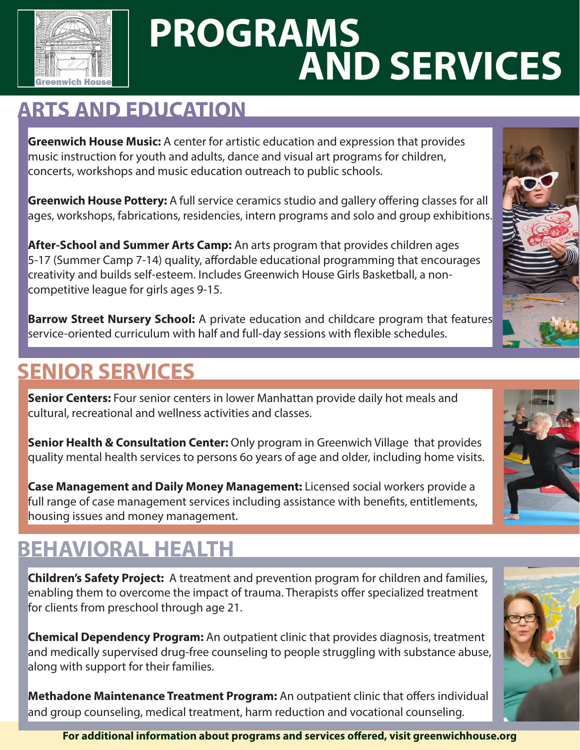

## **PROGRAMS AND SERVICES**

## **ARTS AND EDUCATION**

**Greenwich House Music:** A center for artistic education and expression that provides music instruction for youth and adults, dance and visual art programs for children, concerts, workshops and music education outreach to public schools.

**Greenwich House Pottery:** A full service ceramics studio and gallery offering classes for all ages, workshops, fabrications, residencies, intern programs and solo and group exhibitions.

**After-School and Summer Arts Camp:** An arts program that provides children ages 5-17 (Summer Camp 7-14) quality, affordable educational programming that encourages creativity and builds self-esteem. Includes Greenwich House Girls Basketball, a noncompetitive league for girls ages 9-15.

**Barrow Street Nursery School:** A private education and childcare program that features service-oriented curriculum with half and full-day sessions with flexible schedules.

## **SENIOR SERVICES**

**Senior Centers:** Four senior centers in lower Manhattan provide daily hot meals and cultural, recreational and wellness activities and classes.

**Senior Health & Consultation Center:** Only program in Greenwich Village that provides quality mental health services to persons 6o years of age and older, including home visits.

**Case Management and Daily Money Management:** Licensed social workers provide a full range of case management services including assistance with benefits, entitlements, housing issues and money management.

## **BEHAVIORAL HEALTH**

**Children's Safety Project:** A treatment and prevention program for children and families, enabling them to overcome the impact of trauma. Therapists offer specialized treatment for clients from preschool through age 21.

**Chemical Dependency Program:** An outpatient clinic that provides diagnosis, treatment and medically supervised drug-free counseling to people struggling with substance abuse, along with support for their families.

**Methadone Maintenance Treatment Program:** An outpatient clinic that offers individual and group counseling, medical treatment, harm reduction and vocational counseling.







**For additional information about programs and services offered, visit greenwichhouse.org**